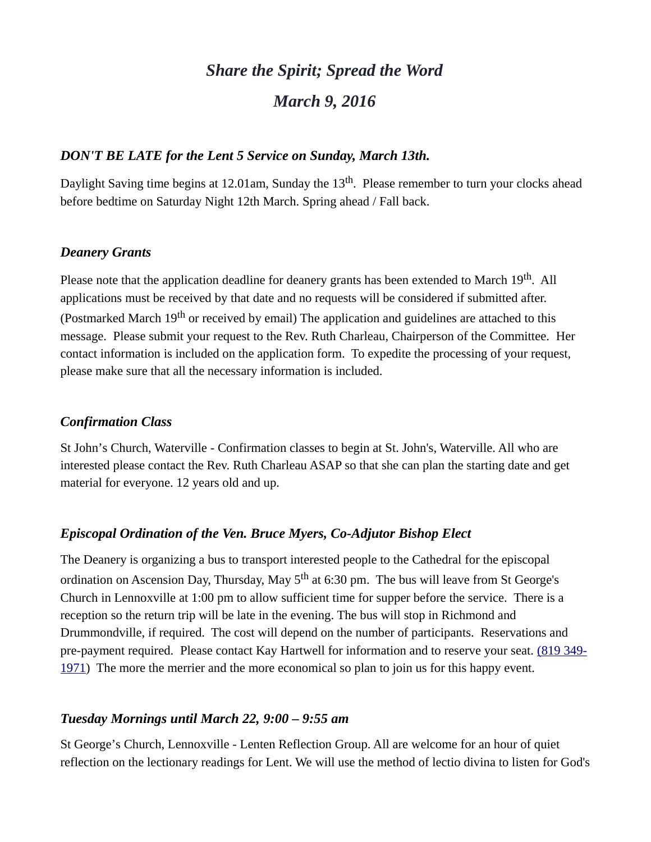# *Share the Spirit; Spread the Word March 9, 2016*

#### *DON'T BE LATE for the Lent 5 Service on Sunday, March 13th.*

Daylight Saving time begins at 12.01am, Sunday the 13<sup>th</sup>. Please remember to turn your clocks ahead before bedtime on Saturday Night 12th March. Spring ahead / Fall back.

### *Deanery Grants*

Please note that the application deadline for deanery grants has been extended to March 19<sup>th</sup>. All applications must be received by that date and no requests will be considered if submitted after. (Postmarked March  $19<sup>th</sup>$  or received by email) The application and guidelines are attached to this message. Please submit your request to the Rev. Ruth Charleau, Chairperson of the Committee. Her contact information is included on the application form. To expedite the processing of your request, please make sure that all the necessary information is included.

## *Confirmation Class*

St John's Church, Waterville - Confirmation classes to begin at St. John's, Waterville. All who are interested please contact the Rev. Ruth Charleau ASAP so that she can plan the starting date and get material for everyone. 12 years old and up.

## *Episcopal Ordination of the Ven. Bruce Myers, Co-Adjutor Bishop Elect*

The Deanery is organizing a bus to transport interested people to the Cathedral for the episcopal ordination on Ascension Day, Thursday, May  $5<sup>th</sup>$  at 6:30 pm. The bus will leave from St George's Church in Lennoxville at 1:00 pm to allow sufficient time for supper before the service. There is a reception so the return trip will be late in the evening. The bus will stop in Richmond and Drummondville, if required. The cost will depend on the number of participants. Reservations and pre-payment required. Please contact Kay Hartwell for information and to reserve your seat. [\(819 349-](tel:(819%20349-1971) [1971\)](tel:(819%20349-1971) The more the merrier and the more economical so plan to join us for this happy event.

#### *Tuesday Mornings until March 22, 9:00 – 9:55 am*

St George's Church, Lennoxville - Lenten Reflection Group. All are welcome for an hour of quiet reflection on the lectionary readings for Lent. We will use the method of lectio divina to listen for God's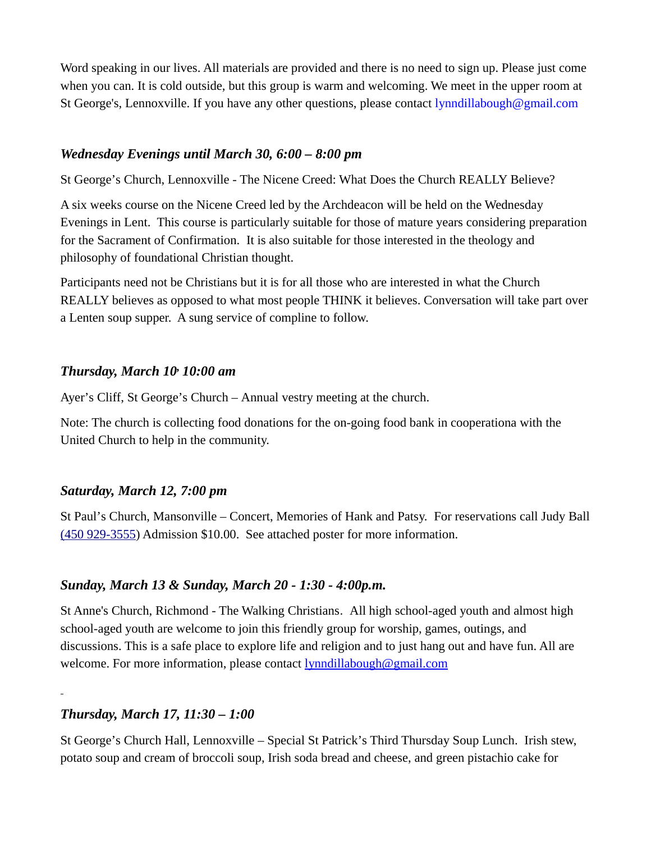Word speaking in our lives. All materials are provided and there is no need to sign up. Please just come when you can. It is cold outside, but this group is warm and welcoming. We meet in the upper room at St George's, Lennoxville. If you have any other questions, please contact [lynndillabough@gmail.com](mailto:lynndillabough@gmail.com)

### *Wednesday Evenings until March 30, 6:00 – 8:00 pm*

St George's Church, Lennoxville - The Nicene Creed: What Does the Church REALLY Believe?

A six weeks course on the Nicene Creed led by the Archdeacon will be held on the Wednesday Evenings in Lent. This course is particularly suitable for those of mature years considering preparation for the Sacrament of Confirmation. It is also suitable for those interested in the theology and philosophy of foundational Christian thought.

Participants need not be Christians but it is for all those who are interested in what the Church REALLY believes as opposed to what most people THINK it believes. Conversation will take part over a Lenten soup supper. A sung service of compline to follow.

### *Thursday, March 10, 10:00 am*

Ayer's Cliff, St George's Church – Annual vestry meeting at the church.

Note: The church is collecting food donations for the on-going food bank in cooperationa with the United Church to help in the community.

## *Saturday, March 12, 7:00 pm*

St Paul's Church, Mansonville – Concert, Memories of Hank and Patsy. For reservations call Judy Ball [\(450 929-3555\)](tel:(450%20929-3555) Admission \$10.00. See attached poster for more information.

## *Sunday, March 13 & Sunday, March 20 - 1:30 - 4:00p.m.*

St Anne's Church, Richmond - The Walking Christians. All high school-aged youth and almost high school-aged youth are welcome to join this friendly group for worship, games, outings, and discussions. This is a safe place to explore life and religion and to just hang out and have fun. All are welcome. For more information, please contact **lynndillabough@gmail.com** 

*Thursday, March 17, 11:30 – 1:00*

St George's Church Hall, Lennoxville – Special St Patrick's Third Thursday Soup Lunch. Irish stew, potato soup and cream of broccoli soup, Irish soda bread and cheese, and green pistachio cake for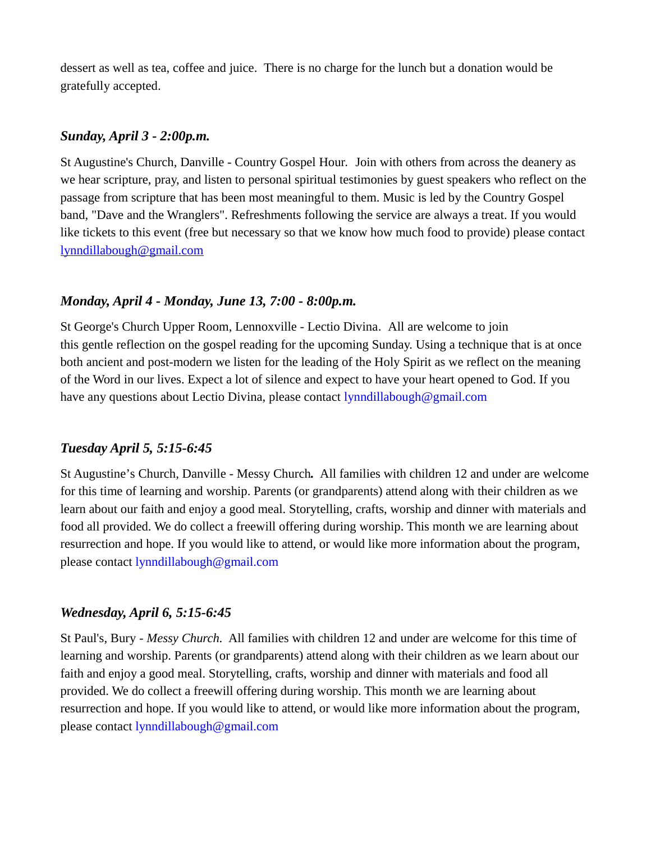dessert as well as tea, coffee and juice. There is no charge for the lunch but a donation would be gratefully accepted.

#### *Sunday, April 3 - 2:00p.m.*

St Augustine's Church, Danville - Country Gospel Hour. Join with others from across the deanery as we hear scripture, pray, and listen to personal spiritual testimonies by guest speakers who reflect on the passage from scripture that has been most meaningful to them. Music is led by the Country Gospel band, "Dave and the Wranglers". Refreshments following the service are always a treat. If you would like tickets to this event (free but necessary so that we know how much food to provide) please contact [lynndillabough@gmail.com](mailto:lynndillabough@gmail.com)

## *Monday, April 4 - Monday, June 13, 7:00 - 8:00p.m.*

St George's Church Upper Room, Lennoxville - Lectio Divina. All are welcome to join this gentle reflection on the gospel reading for the upcoming Sunday. Using a technique that is at once both ancient and post-modern we listen for the leading of the Holy Spirit as we reflect on the meaning of the Word in our lives. Expect a lot of silence and expect to have your heart opened to God. If you have any questions about Lectio Divina, please contact [lynndillabough@gmail.com](mailto:lynndillabough@gmail.com)

## *Tuesday April 5, 5:15-6:45*

St Augustine's Church, Danville - Messy Church*.* All families with children 12 and under are welcome for this time of learning and worship. Parents (or grandparents) attend along with their children as we learn about our faith and enjoy a good meal. Storytelling, crafts, worship and dinner with materials and food all provided. We do collect a freewill offering during worship. This month we are learning about resurrection and hope. If you would like to attend, or would like more information about the program, please contact [lynndillabough@gmail.com](mailto:lynndillabough@gmail.com)

## *Wednesday, April 6, 5:15-6:45*

St Paul's, Bury *- Messy Church.* All families with children 12 and under are welcome for this time of learning and worship. Parents (or grandparents) attend along with their children as we learn about our faith and enjoy a good meal. Storytelling, crafts, worship and dinner with materials and food all provided. We do collect a freewill offering during worship. This month we are learning about resurrection and hope. If you would like to attend, or would like more information about the program, please contact [lynndillabough@gmail.com](mailto:lynndillabough@gmail.com)